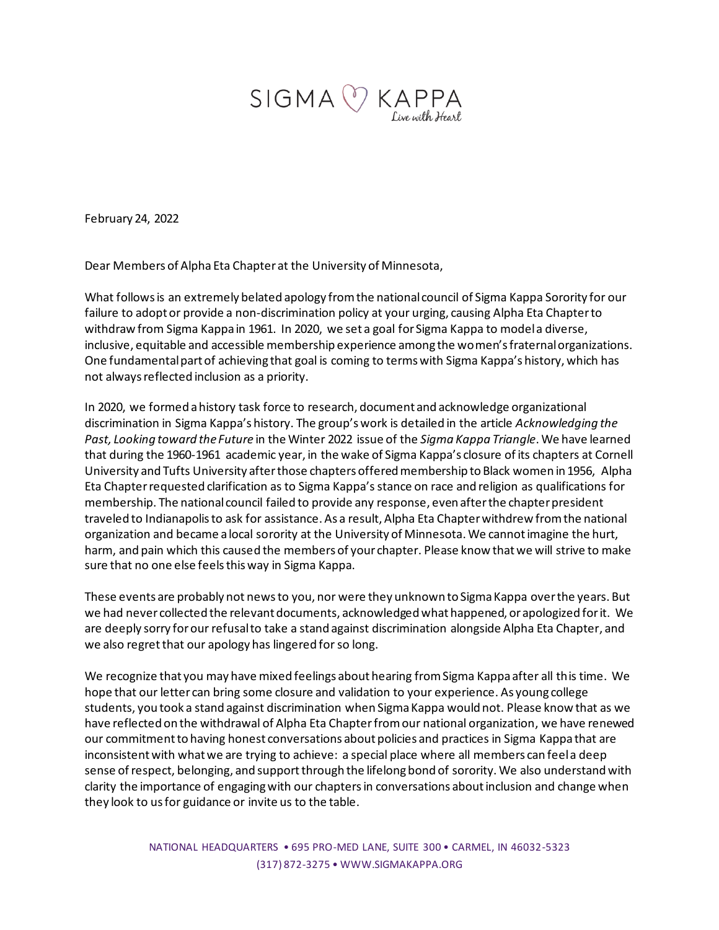

February 24, 2022

Dear Members of Alpha Eta Chapter at the University of Minnesota,

What follows is an extremely belated apology from the national council of Sigma Kappa Sorority for our failure to adopt or provide a non-discrimination policy at your urging, causing Alpha Eta Chapter to withdraw from Sigma Kappa in 1961. In 2020, we set a goal for Sigma Kappa to model a diverse, inclusive, equitable and accessible membership experience among the women's fraternal organizations. One fundamental part of achieving that goal is coming to terms with Sigma Kappa's history, which has not always reflected inclusion as a priority.

In 2020, we formed a history task force to research, document and acknowledge organizational discrimination in Sigma Kappa's history. The group's work is detailed in the article *Acknowledging the Past, Looking toward the Future* in the Winter 2022 issue of the *Sigma Kappa Triangle*. We have learned that during the 1960-1961 academic year, in the wake of Sigma Kappa's closure of its chapters at Cornell University and Tufts University after those chapters offered membership to Black women in 1956, Alpha Eta Chapter requested clarification as to Sigma Kappa's stance on race and religion as qualifications for membership. The national council failed to provide any response, even after the chapter president traveled to Indianapolis to ask for assistance. As a result, Alpha Eta Chapter withdrew from the national organization and became a local sorority at the University of Minnesota. We cannot imagine the hurt, harm, and pain which this caused the members of your chapter. Please know that we will strive to make sure that no one else feels this way in Sigma Kappa.

These events are probably not news to you, nor were they unknown to Sigma Kappa over the years. But we had never collected the relevant documents, acknowledged what happened, or apologized for it. We are deeply sorry for our refusal to take a stand against discrimination alongside Alpha Eta Chapter, and we also regret that our apology has lingered for so long.

We recognize that you may have mixed feelings about hearing from Sigma Kappa after all this time. We hope that our letter can bring some closure and validation to your experience. As young college students, you took a stand against discrimination when Sigma Kappa would not. Please know that as we have reflected on the withdrawal of Alpha Eta Chapterfrom our national organization, we have renewed our commitment to having honest conversations about policies and practices in Sigma Kappa that are inconsistent with what we are trying to achieve: a special place where all members can feel a deep sense of respect, belonging, and support through the lifelong bond of sorority. We also understand with clarity the importance of engaging with our chapters in conversations about inclusion and change when they look to us for guidance or invite us to the table.